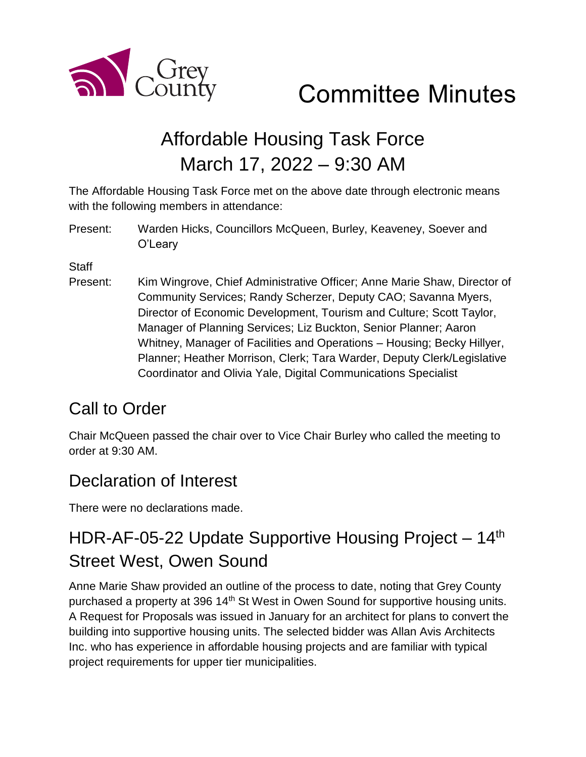

Committee Minutes

# Affordable Housing Task Force March 17, 2022 – 9:30 AM

The Affordable Housing Task Force met on the above date through electronic means with the following members in attendance:

Present: Warden Hicks, Councillors McQueen, Burley, Keaveney, Soever and O'Leary

**Staff** 

Present: Kim Wingrove, Chief Administrative Officer; Anne Marie Shaw, Director of Community Services; Randy Scherzer, Deputy CAO; Savanna Myers, Director of Economic Development, Tourism and Culture; Scott Taylor, Manager of Planning Services; Liz Buckton, Senior Planner; Aaron Whitney, Manager of Facilities and Operations – Housing; Becky Hillyer, Planner; Heather Morrison, Clerk; Tara Warder, Deputy Clerk/Legislative Coordinator and Olivia Yale, Digital Communications Specialist

## Call to Order

Chair McQueen passed the chair over to Vice Chair Burley who called the meeting to order at 9:30 AM.

### Declaration of Interest

There were no declarations made.

## HDR-AF-05-22 Update Supportive Housing Project - 14<sup>th</sup> Street West, Owen Sound

Anne Marie Shaw provided an outline of the process to date, noting that Grey County purchased a property at 396 14<sup>th</sup> St West in Owen Sound for supportive housing units. A Request for Proposals was issued in January for an architect for plans to convert the building into supportive housing units. The selected bidder was Allan Avis Architects Inc. who has experience in affordable housing projects and are familiar with typical project requirements for upper tier municipalities.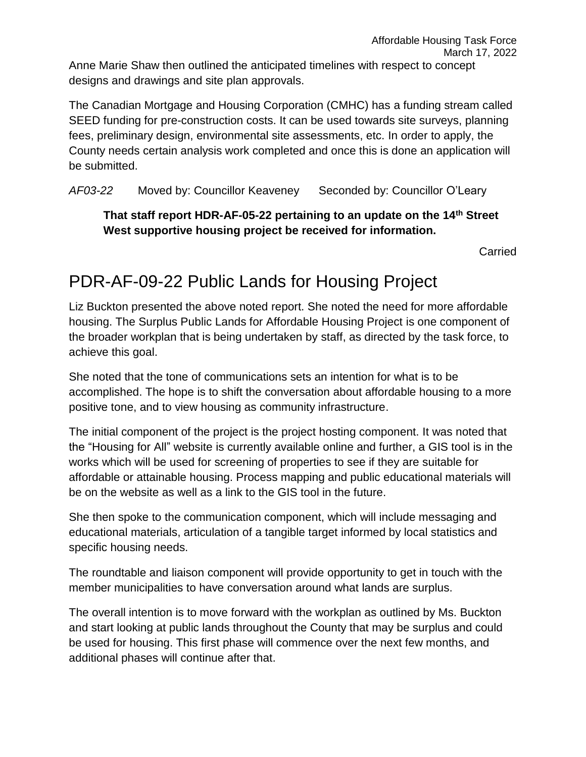The Canadian Mortgage and Housing Corporation (CMHC) has a funding stream called SEED funding for pre-construction costs. It can be used towards site surveys, planning fees, preliminary design, environmental site assessments, etc. In order to apply, the County needs certain analysis work completed and once this is done an application will be submitted.

*AF03-22* Moved by: Councillor Keaveney Seconded by: Councillor O'Leary

#### **That staff report HDR-AF-05-22 pertaining to an update on the 14th Street West supportive housing project be received for information.**

Carried

## PDR-AF-09-22 Public Lands for Housing Project

Liz Buckton presented the above noted report. She noted the need for more affordable housing. The Surplus Public Lands for Affordable Housing Project is one component of the broader workplan that is being undertaken by staff, as directed by the task force, to achieve this goal.

She noted that the tone of communications sets an intention for what is to be accomplished. The hope is to shift the conversation about affordable housing to a more positive tone, and to view housing as community infrastructure.

The initial component of the project is the project hosting component. It was noted that the "Housing for All" website is currently available online and further, a GIS tool is in the works which will be used for screening of properties to see if they are suitable for affordable or attainable housing. Process mapping and public educational materials will be on the website as well as a link to the GIS tool in the future.

She then spoke to the communication component, which will include messaging and educational materials, articulation of a tangible target informed by local statistics and specific housing needs.

The roundtable and liaison component will provide opportunity to get in touch with the member municipalities to have conversation around what lands are surplus.

The overall intention is to move forward with the workplan as outlined by Ms. Buckton and start looking at public lands throughout the County that may be surplus and could be used for housing. This first phase will commence over the next few months, and additional phases will continue after that.